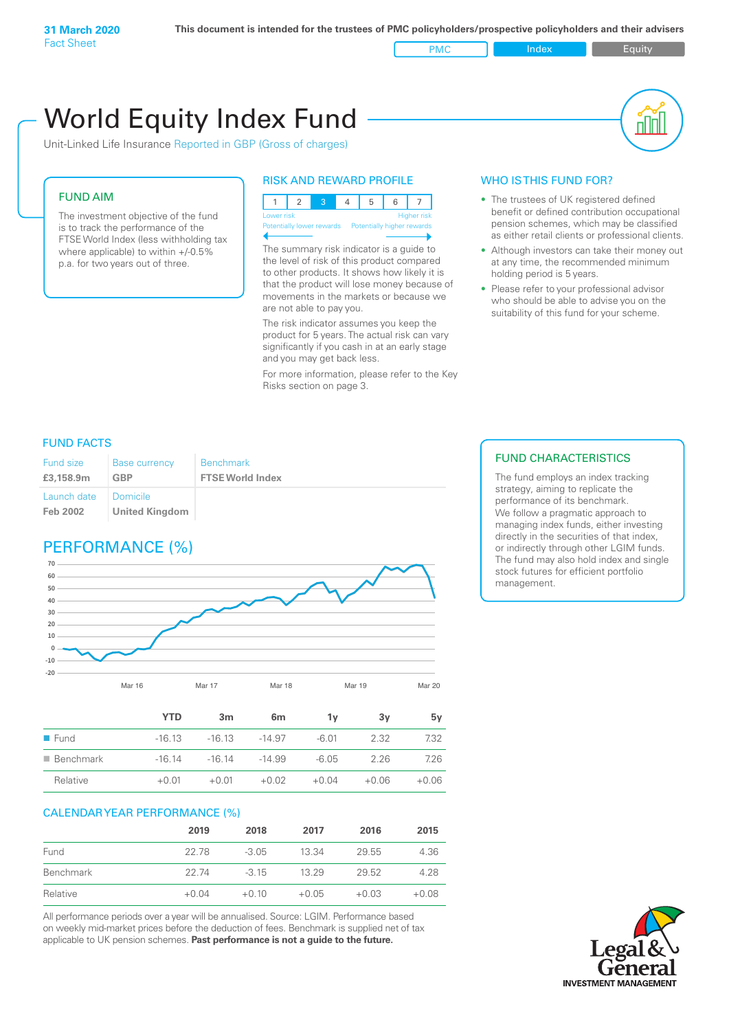PMC Index PMC Equity

# Unit-Linked Life Insurance Reported in GBP (Gross of charges) World Equity Index Fund

# FUND AIM

The investment objective of the fund is to track the performance of the FTSE World Index (less withholding tax where applicable) to within +/-0.5% p.a. for two years out of three.

# RISK AND REWARD PROFILE



Potentially lower rewards Potentially higher rewards

The summary risk indicator is a guide to the level of risk of this product compared to other products. It shows how likely it is that the product will lose money because of movements in the markets or because we are not able to pay you.

The risk indicator assumes you keep the product for 5 years. The actual risk can vary significantly if you cash in at an early stage and you may get back less.

For more information, please refer to the Key Risks section on page 3.

# WHO IS THIS FUND FOR?

- The trustees of UK registered defined benefit or defined contribution occupational pension schemes, which may be classified as either retail clients or professional clients.
- Although investors can take their money out at any time, the recommended minimum holding period is 5 years.
- Please refer to your professional advisor who should be able to advise you on the suitability of this fund for your scheme.

# FUND FACTS

| Fund size               | <b>Base currency</b>                | <b>Benchmark</b>        |
|-------------------------|-------------------------------------|-------------------------|
| £3,158.9m               | <b>GBP</b>                          | <b>FTSE World Index</b> |
| Launch date<br>Feb 2002 | I Domicile<br><b>United Kingdom</b> |                         |

# PERFORMANCE (%)



|                          | <b>YTD</b> | 3 <sub>m</sub> | 6 <sub>m</sub> | 1ν      | 3y      | 5v      |
|--------------------------|------------|----------------|----------------|---------|---------|---------|
| $\blacksquare$ Fund      | $-16.13$   | $-1613$        | $-14.97$       | $-6.01$ | 2.32    | 7.32    |
| $\blacksquare$ Benchmark | $-16.14$   | $-1614$        | $-14.99$       | $-6.05$ | 2.26    | 7.26    |
| Relative                 | $+0.01$    | $+0.01$        | $+0.02$        | $+0.04$ | $+0.06$ | $+0.06$ |

# CALENDAR YEAR PERFORMANCE (%)

|           | 2019    | 2018    | 2017    | 2016    | 2015    |
|-----------|---------|---------|---------|---------|---------|
| Fund      | 22.78   | $-3.05$ | 13.34   | 29.55   | 4.36    |
| Benchmark | 22.74   | $-315$  | 13.29   | 29.52   | 4.28    |
| Relative  | $+0.04$ | $+0.10$ | $+0.05$ | $+0.03$ | $+0.08$ |

All performance periods over a year will be annualised. Source: LGIM. Performance based on weekly mid-market prices before the deduction of fees. Benchmark is supplied net of tax applicable to UK pension schemes. **Past performance is not a guide to the future.**

# FUND CHARACTERISTICS

The fund employs an index tracking strategy, aiming to replicate the performance of its benchmark. We follow a pragmatic approach to managing index funds, either investing directly in the securities of that index, or indirectly through other LGIM funds. The fund may also hold index and single stock futures for efficient portfolio management.

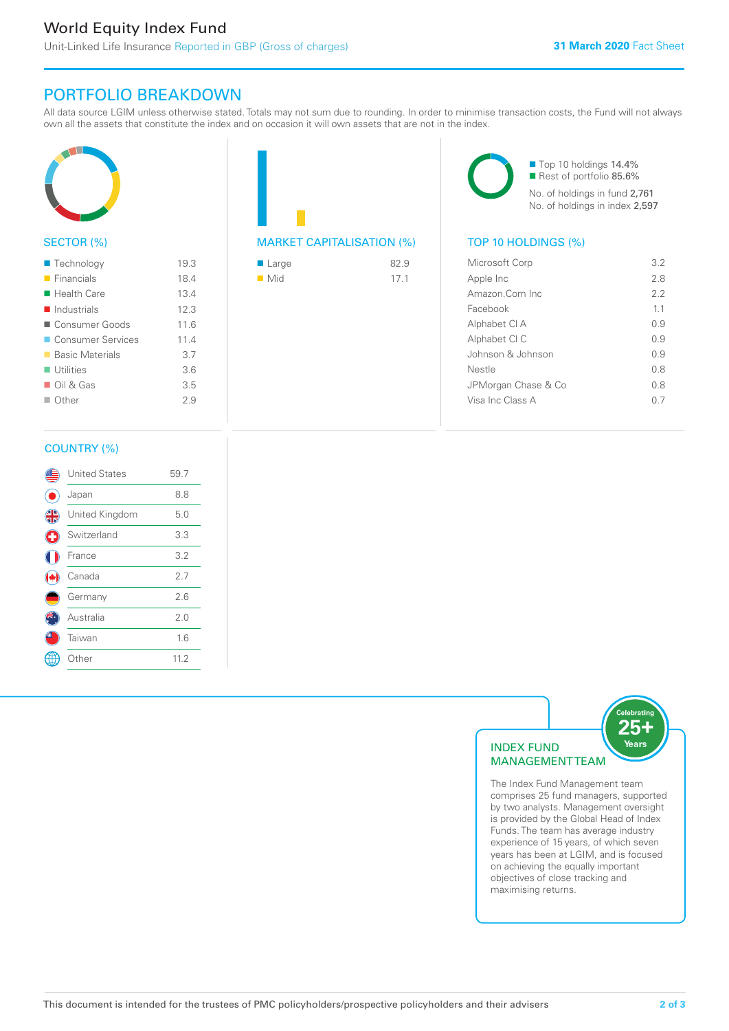# PORTFOLIO BREAKDOWN

All data source LGIM unless otherwise stated. Totals may not sum due to rounding. In order to minimise transaction costs, the Fund will not always own all the assets that constitute the index and on occasion it will own assets that are not in the index.



# SECTOR (%)

| $\blacksquare$ Technology  | 19.3 |
|----------------------------|------|
| $\blacksquare$ Financials  | 18.4 |
| $\blacksquare$ Health Care | 13.4 |
| Industrials                | 12.3 |
| ■ Consumer Goods           | 11.6 |
| ■ Consumer Services        | 11.4 |
| ■ Basic Materials          | 3.7  |
| $\blacksquare$ Utilities   | 3.6  |
| $\Box$ Oil & Gas           | 3.5  |
| $\Box$ Other               | 29   |
|                            |      |



| $\blacksquare$ Large | 82.9 |
|----------------------|------|
| $\blacksquare$ Mid   | 17.1 |

■ Top 10 holdings 14.4% Rest of portfolio 85.6% No. of holdings in fund 2,761 No. of holdings in index 2,597

| Microsoft Corp      | 3.2 |
|---------------------|-----|
| Apple Inc           | 28  |
| Amazon Com Inc      | フフ  |
| Facebook            | 11  |
| Alphabet CI A       | O 9 |
| Alphabet CI C       | 09  |
| Johnson & Johnson   | O 9 |
| Nestle              | 0 S |
| JPMorgan Chase & Co | 0 S |
| Visa Inc Class A    |     |
|                     |     |

# COUNTRY (%)

|   | <b>United States</b> | 59.7 |  |
|---|----------------------|------|--|
|   | Japan                | 8.8  |  |
| 4 | United Kingdom       | 5.0  |  |
| G | Switzerland          | 3.3  |  |
|   | France               | 3.2  |  |
|   | Canada               | 2.7  |  |
|   | Germany              | 2.6  |  |
|   | Australia            | 2.0  |  |
|   | Taiwan               | 1.6  |  |
|   | : Other              | 11.2 |  |
|   |                      |      |  |



comprises 25 fund managers, supported by two analysts. Management oversight is provided by the Global Head of Index Funds. The team has average industry experience of 15 years, of which seven years has been at LGIM, and is focused on achieving the equally important objectives of close tracking and maximising returns.